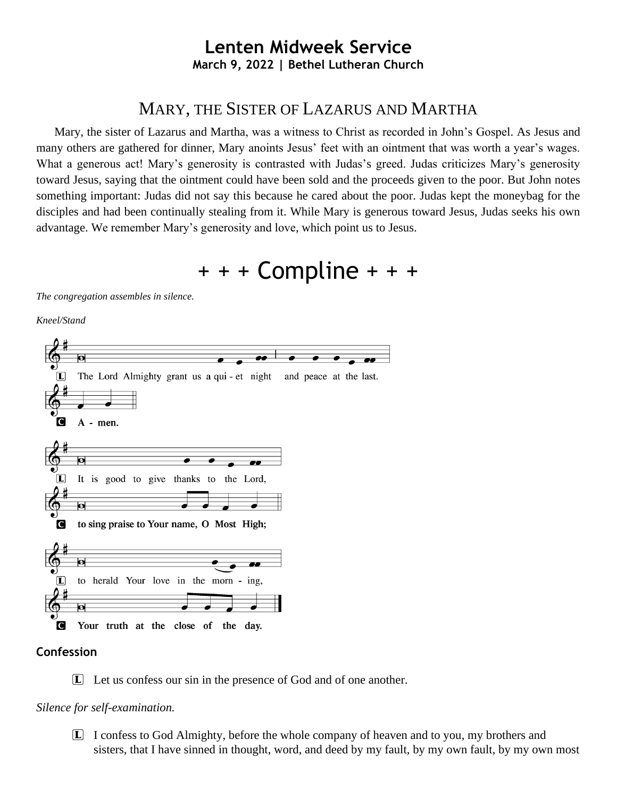# **Lenten Midweek Service**

**March 9, 2022 | Bethel Lutheran Church**

## MARY, THE SISTER OF LAZARUS AND MARTHA

Mary, the sister of Lazarus and Martha, was a witness to Christ as recorded in John's Gospel. As Jesus and many others are gathered for dinner, Mary anoints Jesus' feet with an ointment that was worth a year's wages. What a generous act! Mary's generosity is contrasted with Judas's greed. Judas criticizes Mary's generosity toward Jesus, saying that the ointment could have been sold and the proceeds given to the poor. But John notes something important: Judas did not say this because he cared about the poor. Judas kept the moneybag for the disciples and had been continually stealing from it. While Mary is generous toward Jesus, Judas seeks his own advantage. We remember Mary's generosity and love, which point us to Jesus.



### **Confession**

L Let us confess our sin in the presence of God and of one another.

*Silence for self-examination.*

L I confess to God Almighty, before the whole company of heaven and to you, my brothers and sisters, that I have sinned in thought, word, and deed by my fault, by my own fault, by my own most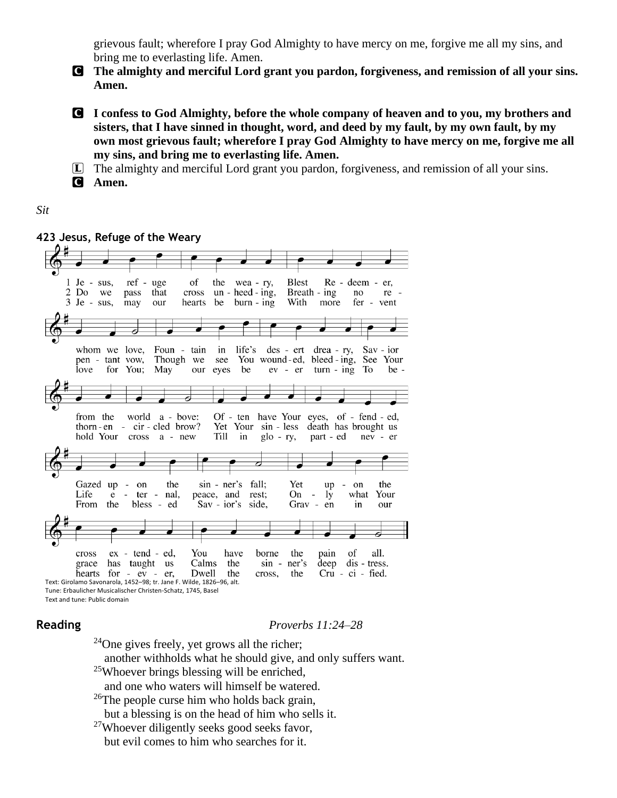grievous fault; wherefore I pray God Almighty to have mercy on me, forgive me all my sins, and bring me to everlasting life. Amen.

C **The almighty and merciful Lord grant you pardon, forgiveness, and remission of all your sins. Amen.**

- C **I confess to God Almighty, before the whole company of heaven and to you, my brothers and sisters, that I have sinned in thought, word, and deed by my fault, by my own fault, by my own most grievous fault; wherefore I pray God Almighty to have mercy on me, forgive me all my sins, and bring me to everlasting life. Amen.**
- L The almighty and merciful Lord grant you pardon, forgiveness, and remission of all your sins.
- C **Amen.**

### *Sit*



### **Reading** *Proverbs 11:24–28*

 $^{24}$ One gives freely, yet grows all the richer;

another withholds what he should give, and only suffers want.

<sup>25</sup>Whoever brings blessing will be enriched,

and one who waters will himself be watered.

 $^{26}$ The people curse him who holds back grain,

but a blessing is on the head of him who sells it.

 $27$ Whoever diligently seeks good seeks favor, but evil comes to him who searches for it.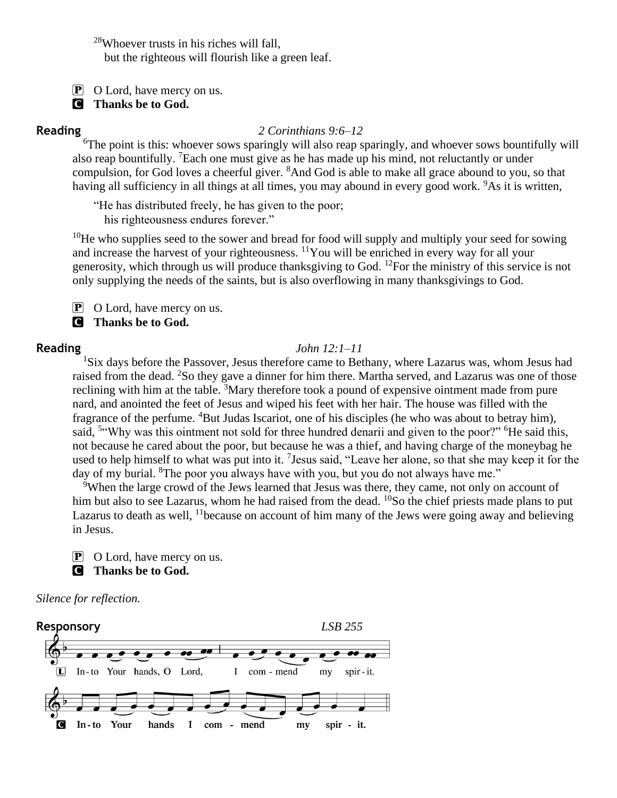<sup>28</sup>Whoever trusts in his riches will fall, but the righteous will flourish like a green leaf.

 $\left[ \mathbf{P} \right]$  O Lord, have mercy on us.

### C **Thanks be to God.**

### **Reading** *2 Corinthians 9:6–12*

<sup>6</sup>The point is this: whoever sows sparingly will also reap sparingly, and whoever sows bountifully will also reap bountifully. <sup>7</sup>Each one must give as he has made up his mind, not reluctantly or under compulsion, for God loves a cheerful giver. <sup>8</sup>And God is able to make all grace abound to you, so that having all sufficiency in all things at all times, you may abound in every good work. <sup>9</sup>As it is written,

"He has distributed freely, he has given to the poor; his righteousness endures forever."

<sup>10</sup>He who supplies seed to the sower and bread for food will supply and multiply your seed for sowing and increase the harvest of your righteousness. <sup>11</sup>You will be enriched in every way for all your generosity, which through us will produce thanksgiving to God. <sup>12</sup>For the ministry of this service is not only supplying the needs of the saints, but is also overflowing in many thanksgivings to God.

P O Lord, have mercy on us.

C **Thanks be to God.**

### **Reading** *John 12:1–11*

<sup>1</sup>Six days before the Passover, Jesus therefore came to Bethany, where Lazarus was, whom Jesus had raised from the dead. <sup>2</sup>So they gave a dinner for him there. Martha served, and Lazarus was one of those reclining with him at the table. <sup>3</sup>Mary therefore took a pound of expensive ointment made from pure nard, and anointed the feet of Jesus and wiped his feet with her hair. The house was filled with the fragrance of the perfume. <sup>4</sup>But Judas Iscariot, one of his disciples (he who was about to betray him), said, <sup>5</sup>"Why was this ointment not sold for three hundred denarii and given to the poor?" <sup>6</sup>He said this, not because he cared about the poor, but because he was a thief, and having charge of the moneybag he used to help himself to what was put into it. <sup>7</sup> Jesus said, "Leave her alone, so that she may keep it for the day of my burial. <sup>8</sup>The poor you always have with you, but you do not always have me."

<sup>9</sup>When the large crowd of the Jews learned that Jesus was there, they came, not only on account of him but also to see Lazarus, whom he had raised from the dead. <sup>10</sup>So the chief priests made plans to put Lazarus to death as well,  $^{11}$ because on account of him many of the Jews were going away and believing in Jesus.

 $\overline{P}$  O Lord, have mercy on us. C **Thanks be to God.**

*Silence for reflection.*

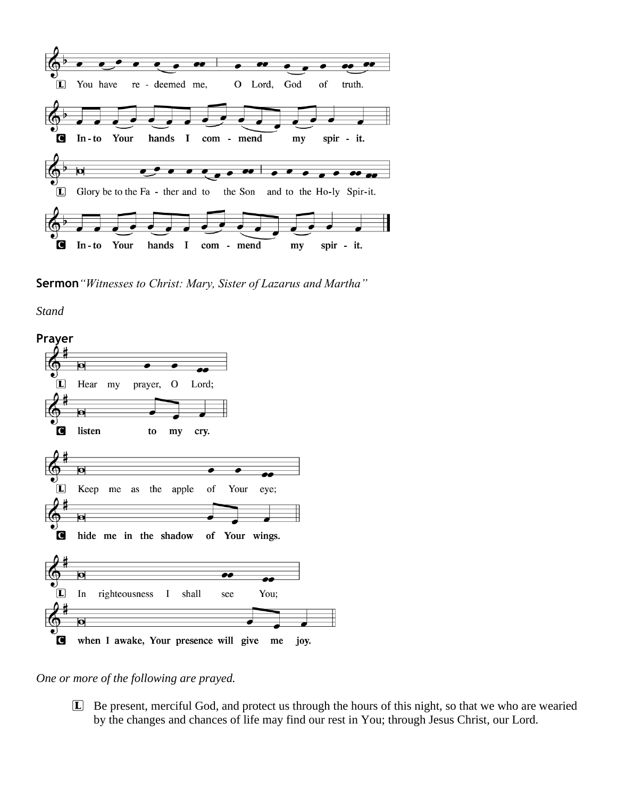

**Sermon***"Witnesses to Christ: Mary, Sister of Lazarus and Martha"*

*Stand*



*One or more of the following are prayed.*

L Be present, merciful God, and protect us through the hours of this night, so that we who are wearied by the changes and chances of life may find our rest in You; through Jesus Christ, our Lord.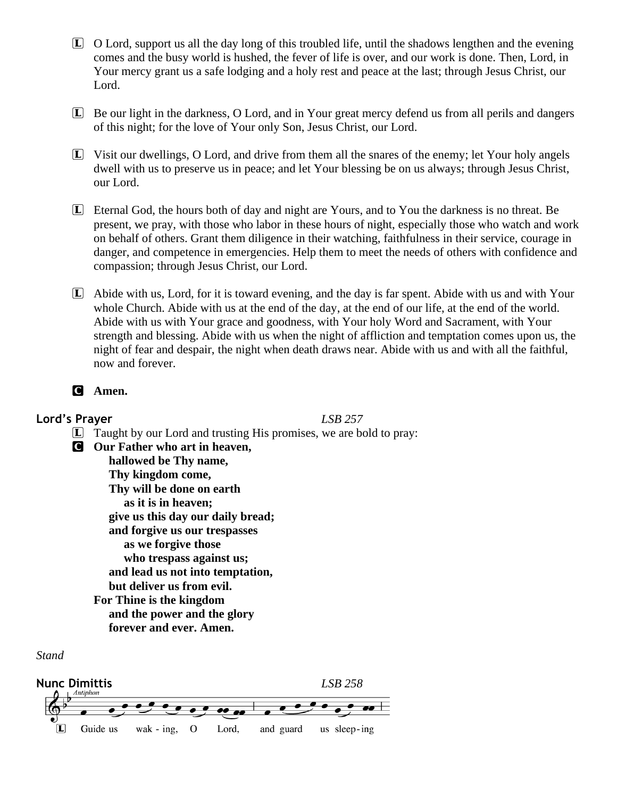- $\bar{L}$  O Lord, support us all the day long of this troubled life, until the shadows lengthen and the evening comes and the busy world is hushed, the fever of life is over, and our work is done. Then, Lord, in Your mercy grant us a safe lodging and a holy rest and peace at the last; through Jesus Christ, our Lord.
- L Be our light in the darkness, O Lord, and in Your great mercy defend us from all perils and dangers of this night; for the love of Your only Son, Jesus Christ, our Lord.
- L Visit our dwellings, O Lord, and drive from them all the snares of the enemy; let Your holy angels dwell with us to preserve us in peace; and let Your blessing be on us always; through Jesus Christ, our Lord.
- L Eternal God, the hours both of day and night are Yours, and to You the darkness is no threat. Be present, we pray, with those who labor in these hours of night, especially those who watch and work on behalf of others. Grant them diligence in their watching, faithfulness in their service, courage in danger, and competence in emergencies. Help them to meet the needs of others with confidence and compassion; through Jesus Christ, our Lord.
- L Abide with us, Lord, for it is toward evening, and the day is far spent. Abide with us and with Your whole Church. Abide with us at the end of the day, at the end of our life, at the end of the world. Abide with us with Your grace and goodness, with Your holy Word and Sacrament, with Your strength and blessing. Abide with us when the night of affliction and temptation comes upon us, the night of fear and despair, the night when death draws near. Abide with us and with all the faithful, now and forever.
- C **Amen.**

### **Lord's Prayer** *LSB 257*

- 
- $\Box$  Taught by our Lord and trusting His promises, we are bold to pray:
- C **Our Father who art in heaven, hallowed be Thy name, Thy kingdom come, Thy will be done on earth as it is in heaven; give us this day our daily bread; and forgive us our trespasses as we forgive those who trespass against us; and lead us not into temptation, but deliver us from evil. For Thine is the kingdom and the power and the glory forever and ever. Amen.**

*Stand*

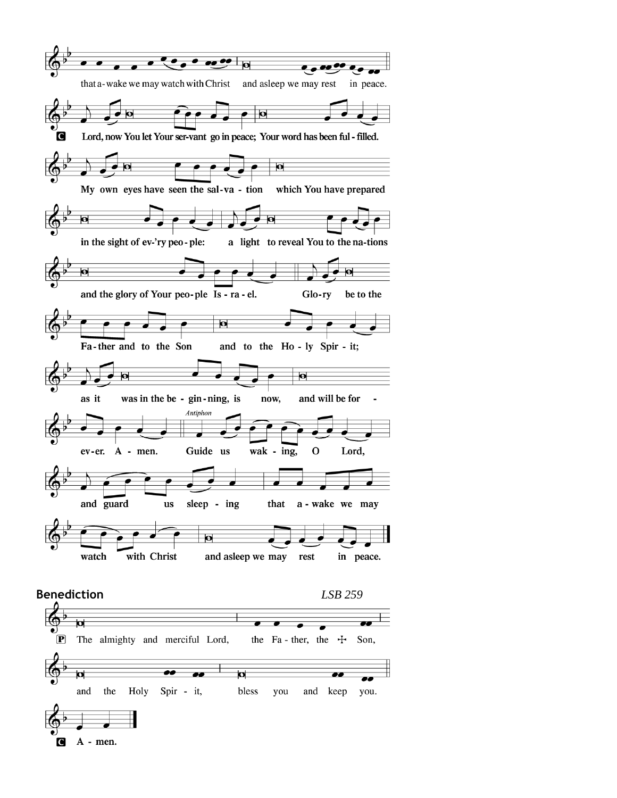